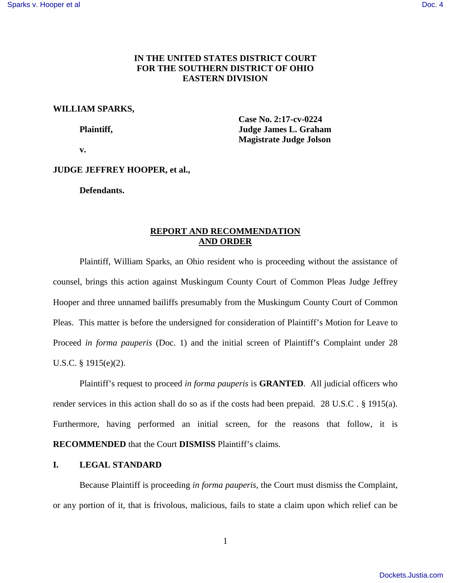# **IN THE UNITED STATES DISTRICT COURT FOR THE SOUTHERN DISTRICT OF OHIO EASTERN DIVISION**

## **WILLIAM SPARKS,**

 **Case No. 2:17-cv-0224 Plaintiff, Superior Plaintiff, Superior Plaintiff, Superior Plaintiff, Superior Plaintiff, Superior Plaintiff, Superior Plaintiff, Superior Plaintiff, Superior Plaintiff, Superior Plaintiff, Superior Plaintiff, Superior P Magistrate Judge Jolson** 

 **v.** 

## **JUDGE JEFFREY HOOPER, et al.,**

**Defendants.**

# **REPORT AND RECOMMENDATION AND ORDER**

Plaintiff, William Sparks, an Ohio resident who is proceeding without the assistance of counsel, brings this action against Muskingum County Court of Common Pleas Judge Jeffrey Hooper and three unnamed bailiffs presumably from the Muskingum County Court of Common Pleas. This matter is before the undersigned for consideration of Plaintiff's Motion for Leave to Proceed *in forma pauperis* (Doc. 1) and the initial screen of Plaintiff's Complaint under 28 U.S.C. § 1915(e)(2).

Plaintiff's request to proceed *in forma pauperis* is **GRANTED**. All judicial officers who render services in this action shall do so as if the costs had been prepaid. 28 U.S.C . § 1915(a). Furthermore, having performed an initial screen, for the reasons that follow, it is **RECOMMENDED** that the Court **DISMISS** Plaintiff's claims.

#### **I. LEGAL STANDARD**

Because Plaintiff is proceeding *in forma pauperis*, the Court must dismiss the Complaint, or any portion of it, that is frivolous, malicious, fails to state a claim upon which relief can be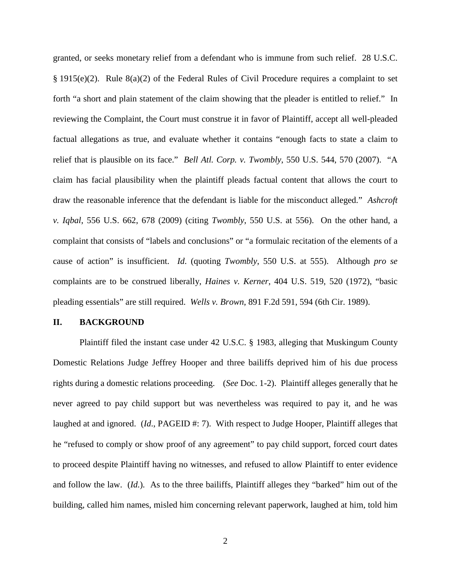granted, or seeks monetary relief from a defendant who is immune from such relief. 28 U.S.C. § 1915(e)(2). Rule 8(a)(2) of the Federal Rules of Civil Procedure requires a complaint to set forth "a short and plain statement of the claim showing that the pleader is entitled to relief." In reviewing the Complaint, the Court must construe it in favor of Plaintiff, accept all well-pleaded factual allegations as true, and evaluate whether it contains "enough facts to state a claim to relief that is plausible on its face." *Bell Atl. Corp. v. Twombly*, 550 U.S. 544, 570 (2007). "A claim has facial plausibility when the plaintiff pleads factual content that allows the court to draw the reasonable inference that the defendant is liable for the misconduct alleged." *Ashcroft v. Iqbal*, 556 U.S. 662, 678 (2009) (citing *Twombly*, 550 U.S. at 556). On the other hand, a complaint that consists of "labels and conclusions" or "a formulaic recitation of the elements of a cause of action" is insufficient. *Id*. (quoting *Twombly*, 550 U.S. at 555). Although *pro se* complaints are to be construed liberally, *Haines v. Kerner*, 404 U.S. 519, 520 (1972), "basic pleading essentials" are still required. *Wells v. Brown*, 891 F.2d 591, 594 (6th Cir. 1989).

## **II. BACKGROUND**

Plaintiff filed the instant case under 42 U.S.C. § 1983, alleging that Muskingum County Domestic Relations Judge Jeffrey Hooper and three bailiffs deprived him of his due process rights during a domestic relations proceeding. (*See* Doc. 1-2). Plaintiff alleges generally that he never agreed to pay child support but was nevertheless was required to pay it, and he was laughed at and ignored. (*Id.*, PAGEID #: 7). With respect to Judge Hooper, Plaintiff alleges that he "refused to comply or show proof of any agreement" to pay child support, forced court dates to proceed despite Plaintiff having no witnesses, and refused to allow Plaintiff to enter evidence and follow the law. (*Id.*)*.* As to the three bailiffs, Plaintiff alleges they "barked" him out of the building, called him names, misled him concerning relevant paperwork, laughed at him, told him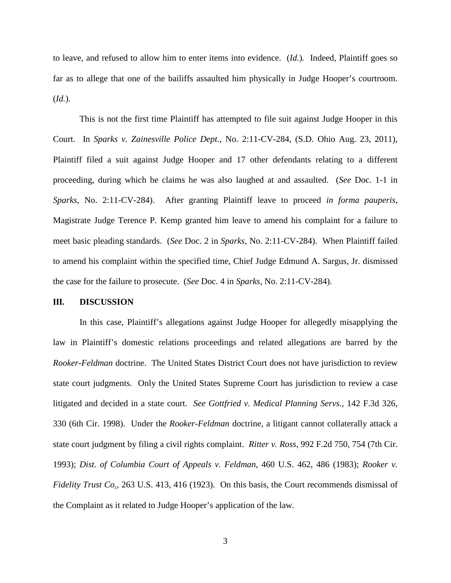to leave, and refused to allow him to enter items into evidence. (*Id.*)*.* Indeed, Plaintiff goes so far as to allege that one of the bailiffs assaulted him physically in Judge Hooper's courtroom. (*Id.*)*.* 

This is not the first time Plaintiff has attempted to file suit against Judge Hooper in this Court. In *Sparks v. Zainesville Police Dept*., No. 2:11-CV-284, (S.D. Ohio Aug. 23, 2011), Plaintiff filed a suit against Judge Hooper and 17 other defendants relating to a different proceeding, during which he claims he was also laughed at and assaulted. (*See* Doc. 1-1 in *Sparks*, No. 2:11-CV-284). After granting Plaintiff leave to proceed *in forma pauperis*, Magistrate Judge Terence P. Kemp granted him leave to amend his complaint for a failure to meet basic pleading standards. (*See* Doc. 2 in *Sparks*, No. 2:11-CV-284). When Plaintiff failed to amend his complaint within the specified time, Chief Judge Edmund A. Sargus, Jr. dismissed the case for the failure to prosecute. (*See* Doc. 4 in *Sparks*, No. 2:11-CV-284).

#### **III. DISCUSSION**

In this case, Plaintiff's allegations against Judge Hooper for allegedly misapplying the law in Plaintiff's domestic relations proceedings and related allegations are barred by the *Rooker-Feldman* doctrine. The United States District Court does not have jurisdiction to review state court judgments. Only the United States Supreme Court has jurisdiction to review a case litigated and decided in a state court. *See Gottfried v. Medical Planning Servs.*, 142 F.3d 326, 330 (6th Cir. 1998). Under the *Rooker-Feldman* doctrine, a litigant cannot collaterally attack a state court judgment by filing a civil rights complaint. *Ritter v. Ross*, 992 F.2d 750, 754 (7th Cir. 1993); *Dist. of Columbia Court of Appeals v. Feldman*, 460 U.S. 462, 486 (1983); *Rooker v. Fidelity Trust Co.*, 263 U.S. 413, 416 (1923). On this basis, the Court recommends dismissal of the Complaint as it related to Judge Hooper's application of the law.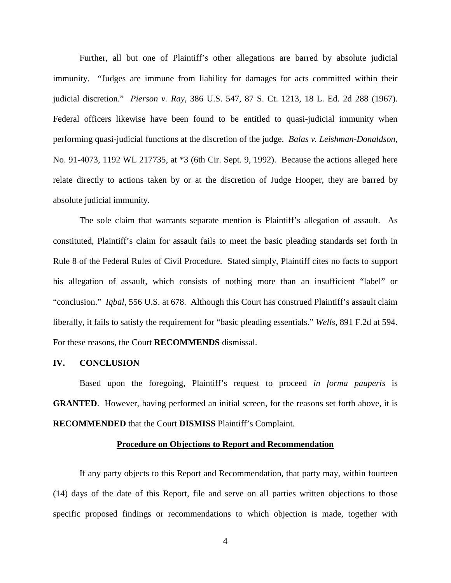Further, all but one of Plaintiff's other allegations are barred by absolute judicial immunity. "Judges are immune from liability for damages for acts committed within their judicial discretion." *Pierson v. Ray*, 386 U.S. 547, 87 S. Ct. 1213, 18 L. Ed. 2d 288 (1967). Federal officers likewise have been found to be entitled to quasi-judicial immunity when performing quasi-judicial functions at the discretion of the judge. *Balas v. Leishman-Donaldson*, No. 91-4073, 1192 WL 217735, at \*3 (6th Cir. Sept. 9, 1992). Because the actions alleged here relate directly to actions taken by or at the discretion of Judge Hooper, they are barred by absolute judicial immunity.

The sole claim that warrants separate mention is Plaintiff's allegation of assault. As constituted, Plaintiff's claim for assault fails to meet the basic pleading standards set forth in Rule 8 of the Federal Rules of Civil Procedure. Stated simply, Plaintiff cites no facts to support his allegation of assault, which consists of nothing more than an insufficient "label" or "conclusion." *Iqbal*, 556 U.S. at 678. Although this Court has construed Plaintiff's assault claim liberally, it fails to satisfy the requirement for "basic pleading essentials." *Wells*, 891 F.2d at 594. For these reasons, the Court **RECOMMENDS** dismissal.

### **IV. CONCLUSION**

Based upon the foregoing, Plaintiff's request to proceed *in forma pauperis* is **GRANTED.** However, having performed an initial screen, for the reasons set forth above, it is **RECOMMENDED** that the Court **DISMISS** Plaintiff's Complaint.

#### **Procedure on Objections to Report and Recommendation**

If any party objects to this Report and Recommendation, that party may, within fourteen (14) days of the date of this Report, file and serve on all parties written objections to those specific proposed findings or recommendations to which objection is made, together with